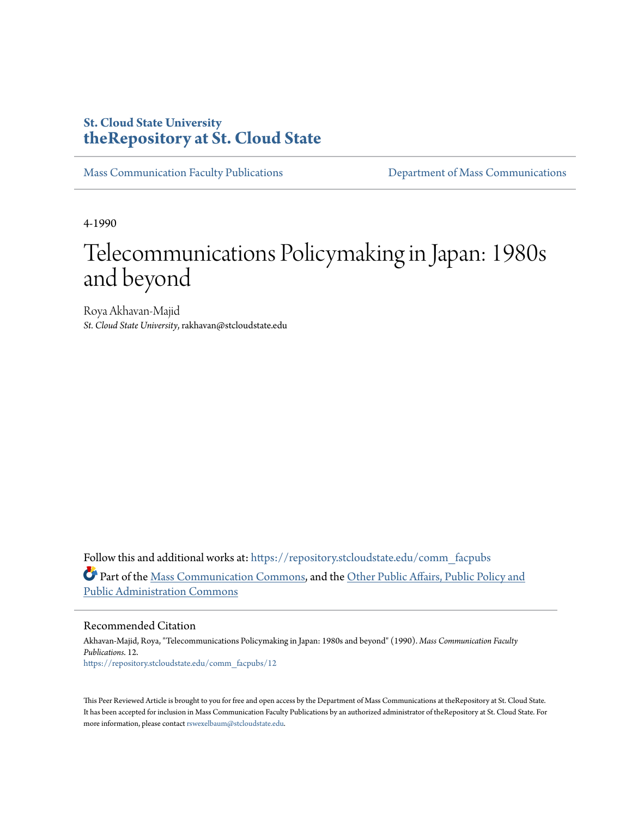### **St. Cloud State University [theRepository at St. Cloud State](https://repository.stcloudstate.edu?utm_source=repository.stcloudstate.edu%2Fcomm_facpubs%2F12&utm_medium=PDF&utm_campaign=PDFCoverPages)**

[Mass Communication Faculty Publications](https://repository.stcloudstate.edu/comm_facpubs?utm_source=repository.stcloudstate.edu%2Fcomm_facpubs%2F12&utm_medium=PDF&utm_campaign=PDFCoverPages) [Department of Mass Communications](https://repository.stcloudstate.edu/comm?utm_source=repository.stcloudstate.edu%2Fcomm_facpubs%2F12&utm_medium=PDF&utm_campaign=PDFCoverPages)

4-1990

## Telecommunications Policymaking in Japan: 1980s and beyond

Roya Akhavan-Majid *St. Cloud State University*, rakhavan@stcloudstate.edu

Follow this and additional works at: [https://repository.stcloudstate.edu/comm\\_facpubs](https://repository.stcloudstate.edu/comm_facpubs?utm_source=repository.stcloudstate.edu%2Fcomm_facpubs%2F12&utm_medium=PDF&utm_campaign=PDFCoverPages) Part of the [Mass Communication Commons,](http://network.bepress.com/hgg/discipline/334?utm_source=repository.stcloudstate.edu%2Fcomm_facpubs%2F12&utm_medium=PDF&utm_campaign=PDFCoverPages) and the [Other Public Affairs, Public Policy and](http://network.bepress.com/hgg/discipline/403?utm_source=repository.stcloudstate.edu%2Fcomm_facpubs%2F12&utm_medium=PDF&utm_campaign=PDFCoverPages) [Public Administration Commons](http://network.bepress.com/hgg/discipline/403?utm_source=repository.stcloudstate.edu%2Fcomm_facpubs%2F12&utm_medium=PDF&utm_campaign=PDFCoverPages)

#### Recommended Citation

Akhavan-Majid, Roya, "Telecommunications Policymaking in Japan: 1980s and beyond" (1990). *Mass Communication Faculty Publications*. 12. [https://repository.stcloudstate.edu/comm\\_facpubs/12](https://repository.stcloudstate.edu/comm_facpubs/12?utm_source=repository.stcloudstate.edu%2Fcomm_facpubs%2F12&utm_medium=PDF&utm_campaign=PDFCoverPages)

This Peer Reviewed Article is brought to you for free and open access by the Department of Mass Communications at theRepository at St. Cloud State. It has been accepted for inclusion in Mass Communication Faculty Publications by an authorized administrator of theRepository at St. Cloud State. For more information, please contact [rswexelbaum@stcloudstate.edu](mailto:rswexelbaum@stcloudstate.edu).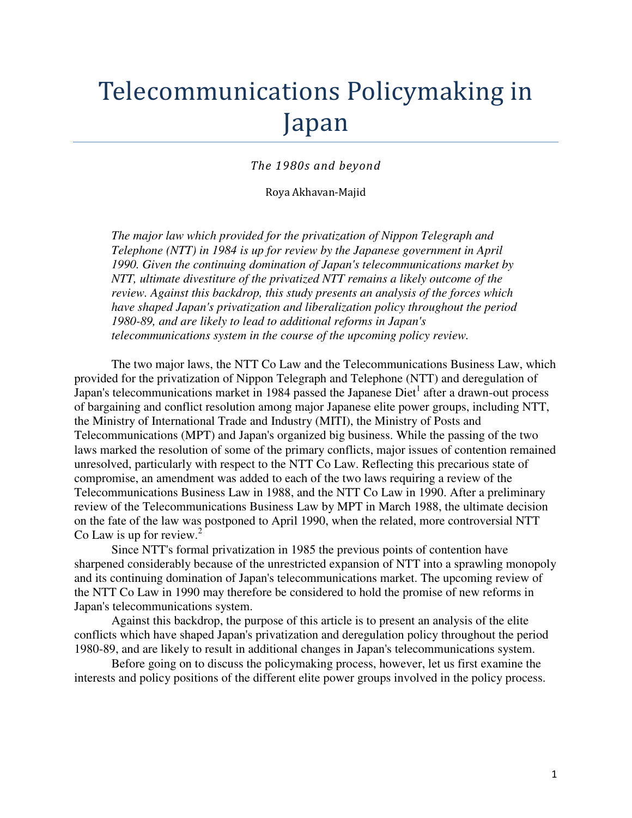# Telecommunications Policymaking in Japan

#### The 1980s and beyond

#### Roya Akhavan-Majid

*The major law which provided for the privatization of Nippon Telegraph and Telephone (NTT) in 1984 is up for review by the Japanese government in April 1990. Given the continuing domination of Japan's telecommunications market by NTT, ultimate divestiture of the privatized NTT remains a likely outcome of the review. Against this backdrop, this study presents an analysis of the forces which have shaped Japan's privatization and liberalization policy throughout the period 1980-89, and are likely to lead to additional reforms in Japan's telecommunications system in the course of the upcoming policy review.* 

The two major laws, the NTT Co Law and the Telecommunications Business Law, which provided for the privatization of Nippon Telegraph and Telephone (NTT) and deregulation of Japan's telecommunications market in 1984 passed the Japanese  $Diet<sup>1</sup>$  after a drawn-out process of bargaining and conflict resolution among major Japanese elite power groups, including NTT, the Ministry of International Trade and Industry (MITI), the Ministry of Posts and Telecommunications (MPT) and Japan's organized big business. While the passing of the two laws marked the resolution of some of the primary conflicts, major issues of contention remained unresolved, particularly with respect to the NTT Co Law. Reflecting this precarious state of compromise, an amendment was added to each of the two laws requiring a review of the Telecommunications Business Law in 1988, and the NTT Co Law in 1990. After a preliminary review of the Telecommunications Business Law by MPT in March 1988, the ultimate decision on the fate of the law was postponed to April 1990, when the related, more controversial NTT Co Law is up for review. $<sup>2</sup>$ </sup>

Since NTT's formal privatization in 1985 the previous points of contention have sharpened considerably because of the unrestricted expansion of NTT into a sprawling monopoly and its continuing domination of Japan's telecommunications market. The upcoming review of the NTT Co Law in 1990 may therefore be considered to hold the promise of new reforms in Japan's telecommunications system.

Against this backdrop, the purpose of this article is to present an analysis of the elite conflicts which have shaped Japan's privatization and deregulation policy throughout the period 1980-89, and are likely to result in additional changes in Japan's telecommunications system.

Before going on to discuss the policymaking process, however, let us first examine the interests and policy positions of the different elite power groups involved in the policy process.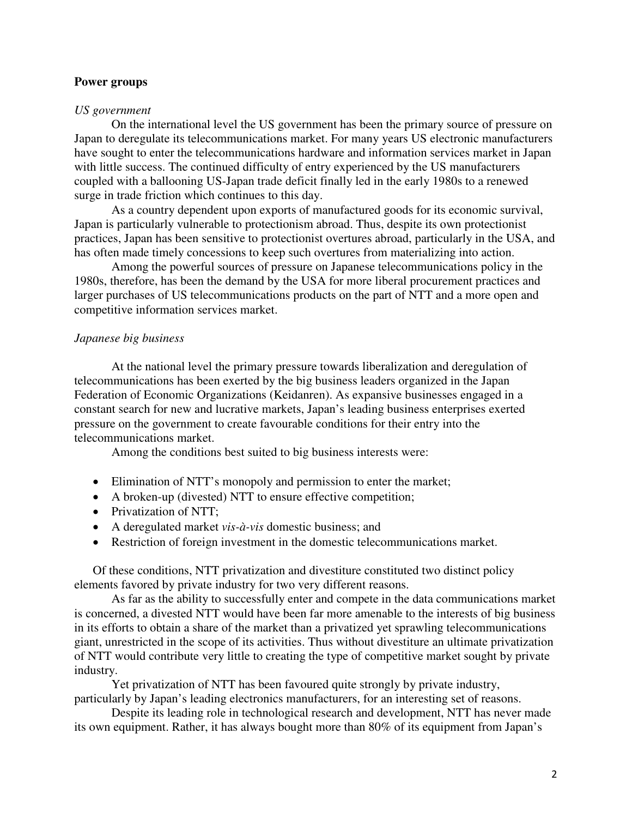#### **Power groups**

#### *US government*

On the international level the US government has been the primary source of pressure on Japan to deregulate its telecommunications market. For many years US electronic manufacturers have sought to enter the telecommunications hardware and information services market in Japan with little success. The continued difficulty of entry experienced by the US manufacturers coupled with a ballooning US-Japan trade deficit finally led in the early 1980s to a renewed surge in trade friction which continues to this day.

As a country dependent upon exports of manufactured goods for its economic survival, Japan is particularly vulnerable to protectionism abroad. Thus, despite its own protectionist practices, Japan has been sensitive to protectionist overtures abroad, particularly in the USA, and has often made timely concessions to keep such overtures from materializing into action.

 Among the powerful sources of pressure on Japanese telecommunications policy in the 1980s, therefore, has been the demand by the USA for more liberal procurement practices and larger purchases of US telecommunications products on the part of NTT and a more open and competitive information services market.

#### *Japanese big business*

At the national level the primary pressure towards liberalization and deregulation of telecommunications has been exerted by the big business leaders organized in the Japan Federation of Economic Organizations (Keidanren). As expansive businesses engaged in a constant search for new and lucrative markets, Japan's leading business enterprises exerted pressure on the government to create favourable conditions for their entry into the telecommunications market.

Among the conditions best suited to big business interests were:

- Elimination of NTT's monopoly and permission to enter the market;
- A broken-up (divested) NTT to ensure effective competition;
- Privatization of NTT;
- A deregulated market *vis-à-vis* domestic business; and
- Restriction of foreign investment in the domestic telecommunications market.

Of these conditions, NTT privatization and divestiture constituted two distinct policy elements favored by private industry for two very different reasons.

 As far as the ability to successfully enter and compete in the data communications market is concerned, a divested NTT would have been far more amenable to the interests of big business in its efforts to obtain a share of the market than a privatized yet sprawling telecommunications giant, unrestricted in the scope of its activities. Thus without divestiture an ultimate privatization of NTT would contribute very little to creating the type of competitive market sought by private industry.

Yet privatization of NTT has been favoured quite strongly by private industry, particularly by Japan's leading electronics manufacturers, for an interesting set of reasons.

Despite its leading role in technological research and development, NTT has never made its own equipment. Rather, it has always bought more than 80% of its equipment from Japan's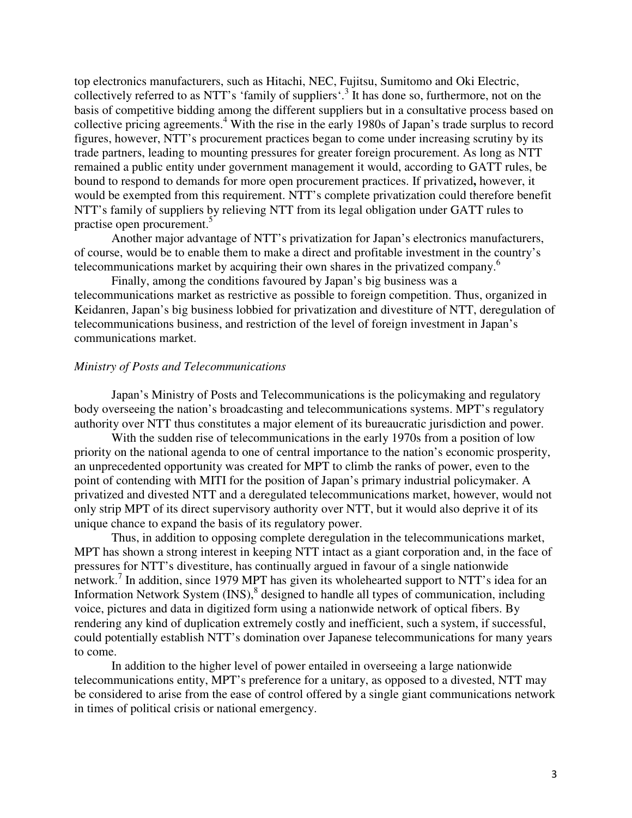top electronics manufacturers, such as Hitachi, NEC, Fujitsu, Sumitomo and Oki Electric, collectively referred to as NTT's 'family of suppliers'.<sup>3</sup> It has done so, furthermore, not on the basis of competitive bidding among the different suppliers but in a consultative process based on collective pricing agreements.<sup>4</sup> With the rise in the early 1980s of Japan's trade surplus to record figures, however, NTT's procurement practices began to come under increasing scrutiny by its trade partners, leading to mounting pressures for greater foreign procurement. As long as NTT remained a public entity under government management it would, according to GATT rules, be bound to respond to demands for more open procurement practices. If privatized**,** however, it would be exempted from this requirement. NTT's complete privatization could therefore benefit NTT's family of suppliers by relieving NTT from its legal obligation under GATT rules to practise open procurement.<sup>5</sup>

Another major advantage of NTT's privatization for Japan's electronics manufacturers, of course, would be to enable them to make a direct and profitable investment in the country's telecommunications market by acquiring their own shares in the privatized company.<sup>6</sup>

Finally, among the conditions favoured by Japan's big business was a telecommunications market as restrictive as possible to foreign competition. Thus, organized in Keidanren, Japan's big business lobbied for privatization and divestiture of NTT, deregulation of telecommunications business, and restriction of the level of foreign investment in Japan's communications market.

#### *Ministry of Posts and Telecommunications*

Japan's Ministry of Posts and Telecommunications is the policymaking and regulatory body overseeing the nation's broadcasting and telecommunications systems. MPT's regulatory authority over NTT thus constitutes a major element of its bureaucratic jurisdiction and power.

With the sudden rise of telecommunications in the early 1970s from a position of low priority on the national agenda to one of central importance to the nation's economic prosperity, an unprecedented opportunity was created for MPT to climb the ranks of power, even to the point of contending with MITI for the position of Japan's primary industrial policymaker. A privatized and divested NTT and a deregulated telecommunications market, however, would not only strip MPT of its direct supervisory authority over NTT, but it would also deprive it of its unique chance to expand the basis of its regulatory power.

Thus, in addition to opposing complete deregulation in the telecommunications market, MPT has shown a strong interest in keeping NTT intact as a giant corporation and, in the face of pressures for NTT's divestiture, has continually argued in favour of a single nationwide network.<sup>7</sup> In addition, since 1979 MPT has given its wholehearted support to NTT's idea for an Information Network System  $(INS)$ ,  $\delta$  designed to handle all types of communication, including voice, pictures and data in digitized form using a nationwide network of optical fibers. By rendering any kind of duplication extremely costly and inefficient, such a system, if successful, could potentially establish NTT's domination over Japanese telecommunications for many years to come.

In addition to the higher level of power entailed in overseeing a large nationwide telecommunications entity, MPT's preference for a unitary, as opposed to a divested, NTT may be considered to arise from the ease of control offered by a single giant communications network in times of political crisis or national emergency.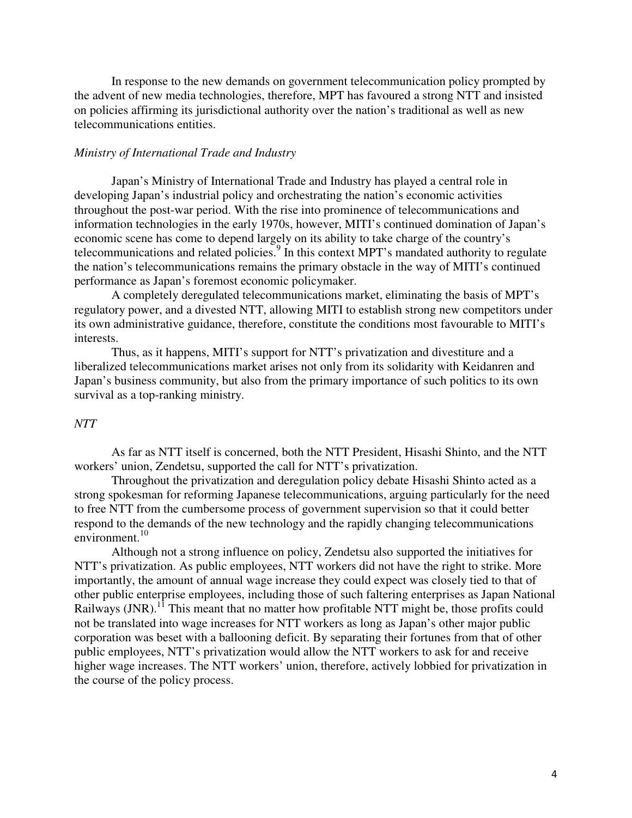In response to the new demands on government telecommunication policy prompted by the advent of new media technologies, therefore, MPT has favoured a strong NTT and insisted on policies affirming its jurisdictional authority over the nation's traditional as well as new telecommunications entities.

#### *Ministry of International Trade and Industry*

Japan's Ministry of International Trade and Industry has played a central role in developing Japan's industrial policy and orchestrating the nation's economic activities throughout the post-war period. With the rise into prominence of telecommunications and information technologies in the early 1970s, however, MITI's continued domination of Japan's economic scene has come to depend largely on its ability to take charge of the country's telecommunications and related policies.<sup>9</sup> In this context MPT's mandated authority to regulate the nation's telecommunications remains the primary obstacle in the way of MITI's continued performance as Japan's foremost economic policymaker.

A completely deregulated telecommunications market, eliminating the basis of MPT's regulatory power, and a divested NTT, allowing MITI to establish strong new competitors under its own administrative guidance, therefore, constitute the conditions most favourable to MITI's interests.

Thus, as it happens, MITI's support for NTT's privatization and divestiture and a liberalized telecommunications market arises not only from its solidarity with Keidanren and Japan's business community, but also from the primary importance of such politics to its own survival as a top-ranking ministry.

#### *NTT*

As far as NTT itself is concerned, both the NTT President, Hisashi Shinto, and the NTT workers' union, Zendetsu, supported the call for NTT's privatization.

Throughout the privatization and deregulation policy debate Hisashi Shinto acted as a strong spokesman for reforming Japanese telecommunications, arguing particularly for the need to free NTT from the cumbersome process of government supervision so that it could better respond to the demands of the new technology and the rapidly changing telecommunications environment.<sup>10</sup>

Although not a strong influence on policy, Zendetsu also supported the initiatives for NTT's privatization. As public employees, NTT workers did not have the right to strike. More importantly, the amount of annual wage increase they could expect was closely tied to that of other public enterprise employees, including those of such faltering enterprises as Japan National Railways (JNR).<sup>11</sup> This meant that no matter how profitable NTT might be, those profits could not be translated into wage increases for NTT workers as long as Japan's other major public corporation was beset with a ballooning deficit. By separating their fortunes from that of other public employees, NTT's privatization would allow the NTT workers to ask for and receive higher wage increases. The NTT workers' union, therefore, actively lobbied for privatization in the course of the policy process.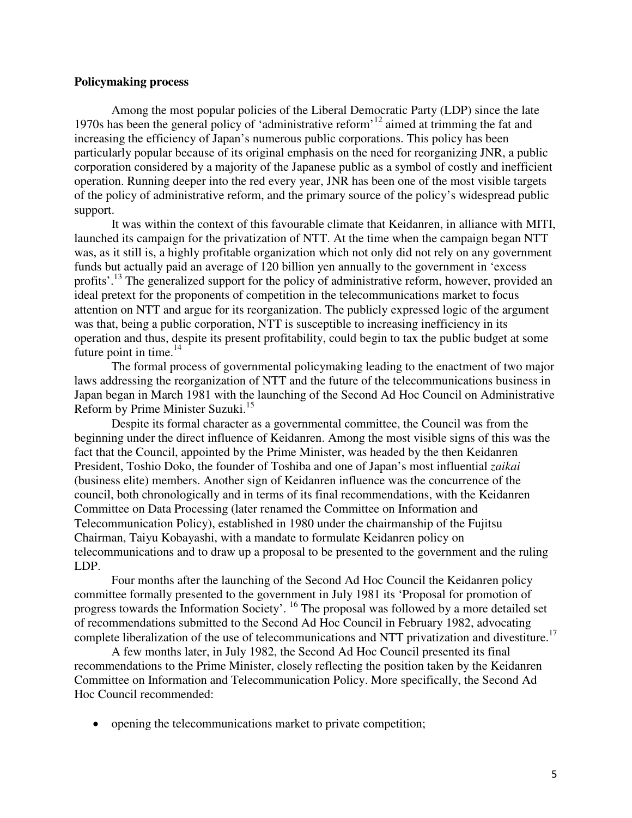#### **Policymaking process**

Among the most popular policies of the Liberal Democratic Party (LDP) since the late 1970s has been the general policy of 'administrative reform'<sup>12</sup> aimed at trimming the fat and increasing the efficiency of Japan's numerous public corporations. This policy has been particularly popular because of its original emphasis on the need for reorganizing JNR, a public corporation considered by a majority of the Japanese public as a symbol of costly and inefficient operation. Running deeper into the red every year, JNR has been one of the most visible targets of the policy of administrative reform, and the primary source of the policy's widespread public support.

It was within the context of this favourable climate that Keidanren, in alliance with MITI, launched its campaign for the privatization of NTT. At the time when the campaign began NTT was, as it still is, a highly profitable organization which not only did not rely on any government funds but actually paid an average of 120 billion yen annually to the government in 'excess profits'.<sup>13</sup> The generalized support for the policy of administrative reform, however, provided an ideal pretext for the proponents of competition in the telecommunications market to focus attention on NTT and argue for its reorganization. The publicly expressed logic of the argument was that, being a public corporation, NTT is susceptible to increasing inefficiency in its operation and thus, despite its present profitability, could begin to tax the public budget at some future point in time. $^{14}$ 

The formal process of governmental policymaking leading to the enactment of two major laws addressing the reorganization of NTT and the future of the telecommunications business in Japan began in March 1981 with the launching of the Second Ad Hoc Council on Administrative Reform by Prime Minister Suzuki.<sup>15</sup>

Despite its formal character as a governmental committee, the Council was from the beginning under the direct influence of Keidanren. Among the most visible signs of this was the fact that the Council, appointed by the Prime Minister, was headed by the then Keidanren President, Toshio Doko, the founder of Toshiba and one of Japan's most influential *zaikai*  (business elite) members. Another sign of Keidanren influence was the concurrence of the council, both chronologically and in terms of its final recommendations, with the Keidanren Committee on Data Processing (later renamed the Committee on Information and Telecommunication Policy), established in 1980 under the chairmanship of the Fujitsu Chairman, Taiyu Kobayashi, with a mandate to formulate Keidanren policy on telecommunications and to draw up a proposal to be presented to the government and the ruling LDP.

Four months after the launching of the Second Ad Hoc Council the Keidanren policy committee formally presented to the government in July 1981 its 'Proposal for promotion of progress towards the Information Society'. <sup>16</sup> The proposal was followed by a more detailed set of recommendations submitted to the Second Ad Hoc Council in February 1982, advocating complete liberalization of the use of telecommunications and NTT privatization and divestiture.<sup>17</sup>

A few months later, in July 1982, the Second Ad Hoc Council presented its final recommendations to the Prime Minister, closely reflecting the position taken by the Keidanren Committee on Information and Telecommunication Policy. More specifically, the Second Ad Hoc Council recommended:

• opening the telecommunications market to private competition;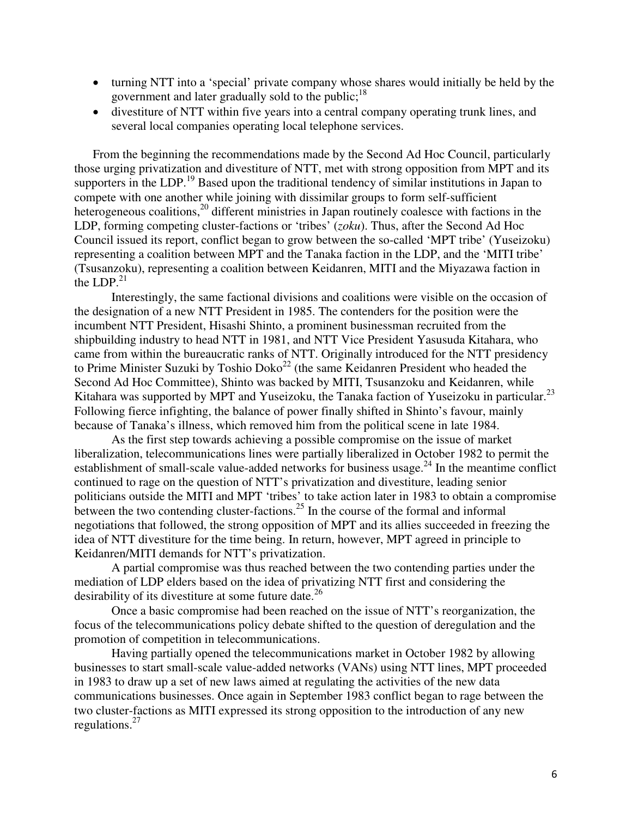- turning NTT into a 'special' private company whose shares would initially be held by the government and later gradually sold to the public; $^{18}$
- divestiture of NTT within five years into a central company operating trunk lines, and several local companies operating local telephone services.

From the beginning the recommendations made by the Second Ad Hoc Council, particularly those urging privatization and divestiture of NTT, met with strong opposition from MPT and its supporters in the LDP.<sup>19</sup> Based upon the traditional tendency of similar institutions in Japan to compete with one another while joining with dissimilar groups to form self-sufficient heterogeneous coalitions,<sup>20</sup> different ministries in Japan routinely coalesce with factions in the LDP, forming competing cluster-factions or 'tribes' (*zoku*). Thus, after the Second Ad Hoc Council issued its report, conflict began to grow between the so-called 'MPT tribe' (Yuseizoku) representing a coalition between MPT and the Tanaka faction in the LDP, and the 'MITI tribe' (Tsusanzoku), representing a coalition between Keidanren, MITI and the Miyazawa faction in the LDP. $^{21}$ 

Interestingly, the same factional divisions and coalitions were visible on the occasion of the designation of a new NTT President in 1985. The contenders for the position were the incumbent NTT President, Hisashi Shinto, a prominent businessman recruited from the shipbuilding industry to head NTT in 1981, and NTT Vice President Yasusuda Kitahara, who came from within the bureaucratic ranks of NTT. Originally introduced for the NTT presidency to Prime Minister Suzuki by Toshio Doko<sup>22</sup> (the same Keidanren President who headed the Second Ad Hoc Committee), Shinto was backed by MITI, Tsusanzoku and Keidanren, while Kitahara was supported by MPT and Yuseizoku, the Tanaka faction of Yuseizoku in particular.<sup>23</sup> Following fierce infighting, the balance of power finally shifted in Shinto's favour, mainly because of Tanaka's illness, which removed him from the political scene in late 1984.

As the first step towards achieving a possible compromise on the issue of market liberalization, telecommunications lines were partially liberalized in October 1982 to permit the establishment of small-scale value-added networks for business usage.<sup>24</sup> In the meantime conflict continued to rage on the question of NTT's privatization and divestiture, leading senior politicians outside the MITI and MPT 'tribes' to take action later in 1983 to obtain a compromise between the two contending cluster-factions.<sup>25</sup> In the course of the formal and informal negotiations that followed, the strong opposition of MPT and its allies succeeded in freezing the idea of NTT divestiture for the time being. In return, however, MPT agreed in principle to Keidanren/MITI demands for NTT's privatization.

A partial compromise was thus reached between the two contending parties under the mediation of LDP elders based on the idea of privatizing NTT first and considering the desirability of its divestiture at some future date.<sup>26</sup>

Once a basic compromise had been reached on the issue of NTT's reorganization, the focus of the telecommunications policy debate shifted to the question of deregulation and the promotion of competition in telecommunications.

Having partially opened the telecommunications market in October 1982 by allowing businesses to start small-scale value-added networks (VANs) using NTT lines, MPT proceeded in 1983 to draw up a set of new laws aimed at regulating the activities of the new data communications businesses. Once again in September 1983 conflict began to rage between the two cluster-factions as MITI expressed its strong opposition to the introduction of any new regulations. $27$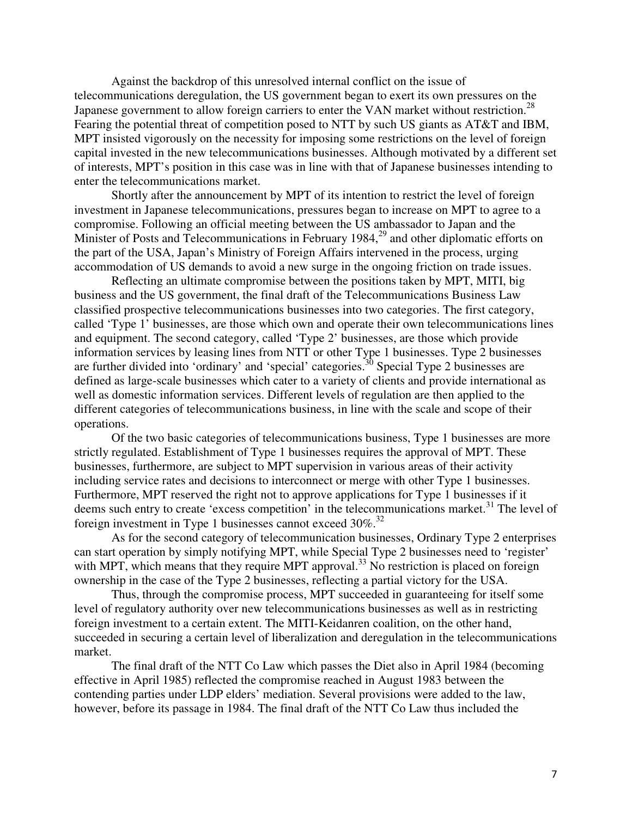Against the backdrop of this unresolved internal conflict on the issue of telecommunications deregulation, the US government began to exert its own pressures on the Japanese government to allow foreign carriers to enter the VAN market without restriction.<sup>28</sup> Fearing the potential threat of competition posed to NTT by such US giants as AT&T and IBM, MPT insisted vigorously on the necessity for imposing some restrictions on the level of foreign capital invested in the new telecommunications businesses. Although motivated by a different set of interests, MPT's position in this case was in line with that of Japanese businesses intending to enter the telecommunications market.

Shortly after the announcement by MPT of its intention to restrict the level of foreign investment in Japanese telecommunications, pressures began to increase on MPT to agree to a compromise. Following an official meeting between the US ambassador to Japan and the Minister of Posts and Telecommunications in February 1984,<sup>29</sup> and other diplomatic efforts on the part of the USA, Japan's Ministry of Foreign Affairs intervened in the process, urging accommodation of US demands to avoid a new surge in the ongoing friction on trade issues.

 Reflecting an ultimate compromise between the positions taken by MPT, MITI, big business and the US government, the final draft of the Telecommunications Business Law classified prospective telecommunications businesses into two categories. The first category, called 'Type 1' businesses, are those which own and operate their own telecommunications lines and equipment. The second category, called 'Type 2' businesses, are those which provide information services by leasing lines from NTT or other Type 1 businesses. Type 2 businesses are further divided into 'ordinary' and 'special' categories.<sup>30</sup> Special Type 2 businesses are defined as large-scale businesses which cater to a variety of clients and provide international as well as domestic information services. Different levels of regulation are then applied to the different categories of telecommunications business, in line with the scale and scope of their operations.

Of the two basic categories of telecommunications business, Type 1 businesses are more strictly regulated. Establishment of Type 1 businesses requires the approval of MPT. These businesses, furthermore, are subject to MPT supervision in various areas of their activity including service rates and decisions to interconnect or merge with other Type 1 businesses. Furthermore, MPT reserved the right not to approve applications for Type 1 businesses if it deems such entry to create 'excess competition' in the telecommunications market.<sup>31</sup> The level of foreign investment in Type 1 businesses cannot exceed  $30\%$ .<sup>32</sup>

As for the second category of telecommunication businesses, Ordinary Type 2 enterprises can start operation by simply notifying MPT, while Special Type 2 businesses need to 'register' with MPT, which means that they require MPT approval.<sup>33</sup> No restriction is placed on foreign ownership in the case of the Type 2 businesses, reflecting a partial victory for the USA.

Thus, through the compromise process, MPT succeeded in guaranteeing for itself some level of regulatory authority over new telecommunications businesses as well as in restricting foreign investment to a certain extent. The MITI-Keidanren coalition, on the other hand, succeeded in securing a certain level of liberalization and deregulation in the telecommunications market.

The final draft of the NTT Co Law which passes the Diet also in April 1984 (becoming effective in April 1985) reflected the compromise reached in August 1983 between the contending parties under LDP elders' mediation. Several provisions were added to the law, however, before its passage in 1984. The final draft of the NTT Co Law thus included the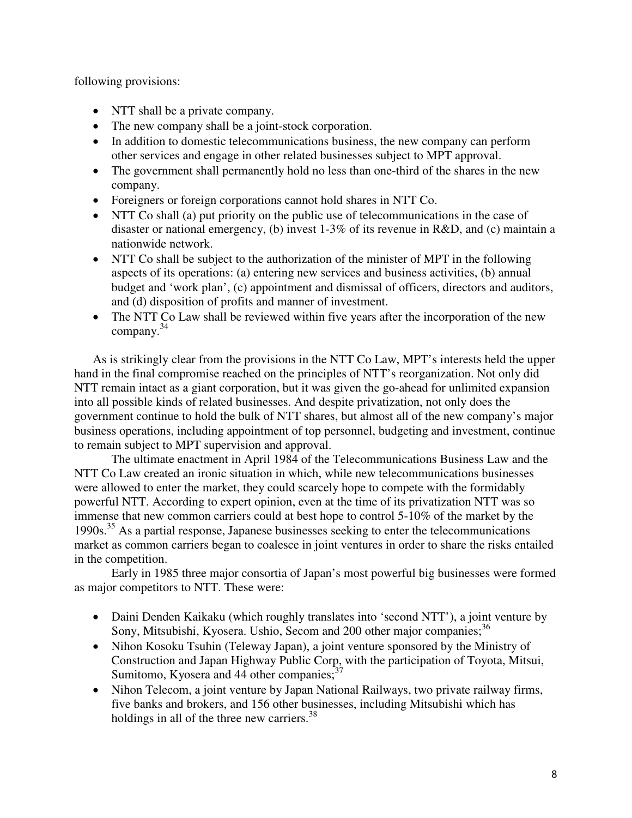following provisions:

- NTT shall be a private company.
- The new company shall be a joint-stock corporation.
- In addition to domestic telecommunications business, the new company can perform other services and engage in other related businesses subject to MPT approval.
- The government shall permanently hold no less than one-third of the shares in the new company.
- Foreigners or foreign corporations cannot hold shares in NTT Co.
- NTT Co shall (a) put priority on the public use of telecommunications in the case of disaster or national emergency, (b) invest 1-3% of its revenue in R&D, and (c) maintain a nationwide network.
- NTT Co shall be subject to the authorization of the minister of MPT in the following aspects of its operations: (a) entering new services and business activities, (b) annual budget and 'work plan', (c) appointment and dismissal of officers, directors and auditors, and (d) disposition of profits and manner of investment.
- The NTT Co Law shall be reviewed within five years after the incorporation of the new company.<sup>34</sup>

As is strikingly clear from the provisions in the NTT Co Law, MPT's interests held the upper hand in the final compromise reached on the principles of NTT's reorganization. Not only did NTT remain intact as a giant corporation, but it was given the go-ahead for unlimited expansion into all possible kinds of related businesses. And despite privatization, not only does the government continue to hold the bulk of NTT shares, but almost all of the new company's major business operations, including appointment of top personnel, budgeting and investment, continue to remain subject to MPT supervision and approval.

 The ultimate enactment in April 1984 of the Telecommunications Business Law and the NTT Co Law created an ironic situation in which, while new telecommunications businesses were allowed to enter the market, they could scarcely hope to compete with the formidably powerful NTT. According to expert opinion, even at the time of its privatization NTT was so immense that new common carriers could at best hope to control 5-10% of the market by the 1990s.<sup>35</sup> As a partial response, Japanese businesses seeking to enter the telecommunications market as common carriers began to coalesce in joint ventures in order to share the risks entailed in the competition.

 Early in 1985 three major consortia of Japan's most powerful big businesses were formed as major competitors to NTT. These were:

- Daini Denden Kaikaku (which roughly translates into 'second NTT'), a joint venture by Sony, Mitsubishi, Kyosera. Ushio, Secom and 200 other major companies;<sup>36</sup>
- Nihon Kosoku Tsuhin (Teleway Japan), a joint venture sponsored by the Ministry of Construction and Japan Highway Public Corp, with the participation of Toyota, Mitsui, Sumitomo, Kyosera and 44 other companies; $3<sup>7</sup>$
- Nihon Telecom, a joint venture by Japan National Railways, two private railway firms, five banks and brokers, and 156 other businesses, including Mitsubishi which has holdings in all of the three new carriers.<sup>38</sup>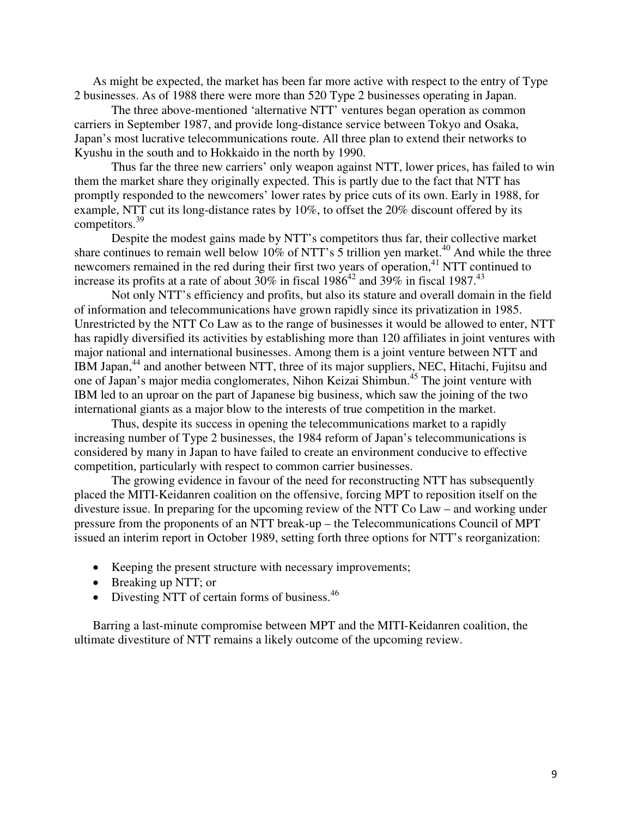As might be expected, the market has been far more active with respect to the entry of Type 2 businesses. As of 1988 there were more than 520 Type 2 businesses operating in Japan.

The three above-mentioned 'alternative NTT' ventures began operation as common carriers in September 1987, and provide long-distance service between Tokyo and Osaka, Japan's most lucrative telecommunications route. All three plan to extend their networks to Kyushu in the south and to Hokkaido in the north by 1990.

Thus far the three new carriers' only weapon against NTT, lower prices, has failed to win them the market share they originally expected. This is partly due to the fact that NTT has promptly responded to the newcomers' lower rates by price cuts of its own. Early in 1988, for example, NTT cut its long-distance rates by 10%, to offset the 20% discount offered by its competitors.<sup>39</sup>

Despite the modest gains made by NTT's competitors thus far, their collective market share continues to remain well below 10% of NTT's  $\overline{5}$  trillion yen market.<sup>40</sup> And while the three newcomers remained in the red during their first two years of operation,<sup>41</sup> NTT continued to increase its profits at a rate of about  $30\%$  in fiscal  $1986^{42}$  and  $39\%$  in fiscal  $1987^{43}$ 

Not only NTT's efficiency and profits, but also its stature and overall domain in the field of information and telecommunications have grown rapidly since its privatization in 1985. Unrestricted by the NTT Co Law as to the range of businesses it would be allowed to enter, NTT has rapidly diversified its activities by establishing more than 120 affiliates in joint ventures with major national and international businesses. Among them is a joint venture between NTT and IBM Japan,<sup>44</sup> and another between NTT, three of its major suppliers, NEC, Hitachi, Fujitsu and one of Japan's major media conglomerates, Nihon Keizai Shimbun.<sup>45</sup> The joint venture with IBM led to an uproar on the part of Japanese big business, which saw the joining of the two international giants as a major blow to the interests of true competition in the market.

Thus, despite its success in opening the telecommunications market to a rapidly increasing number of Type 2 businesses, the 1984 reform of Japan's telecommunications is considered by many in Japan to have failed to create an environment conducive to effective competition, particularly with respect to common carrier businesses.

The growing evidence in favour of the need for reconstructing NTT has subsequently placed the MITI-Keidanren coalition on the offensive, forcing MPT to reposition itself on the divesture issue. In preparing for the upcoming review of the NTT Co Law – and working under pressure from the proponents of an NTT break-up – the Telecommunications Council of MPT issued an interim report in October 1989, setting forth three options for NTT's reorganization:

- Keeping the present structure with necessary improvements;
- Breaking up NTT; or
- Divesting NTT of certain forms of business. $46$

Barring a last-minute compromise between MPT and the MITI-Keidanren coalition, the ultimate divestiture of NTT remains a likely outcome of the upcoming review.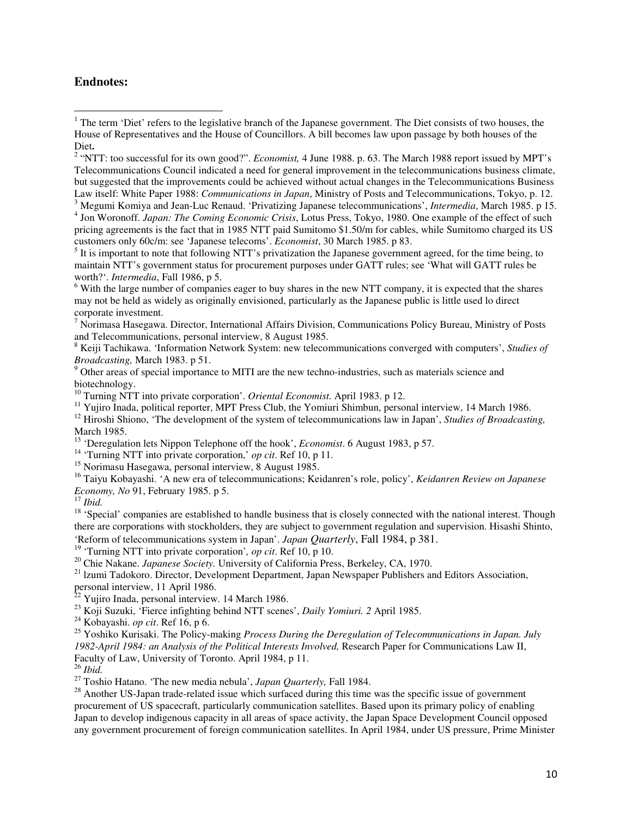#### **Endnotes:**

l

 $6$  With the large number of companies eager to buy shares in the new NTT company, it is expected that the shares may not be held as widely as originally envisioned, particularly as the Japanese public is little used lo direct corporate investment.

<sup>7</sup> Norimasa Hasegawa. Director, International Affairs Division, Communications Policy Bureau, Ministry of Posts and Telecommunications, personal interview, 8 August 1985.

8 Keiji Tachikawa. 'Information Network System: new telecommunications converged with computers', *Studies of Broadcasting,* March 1983. p 51.

<sup>9</sup> Other areas of special importance to MITI are the new techno-industries, such as materials science and biotechnology.

<sup>10</sup> Turning NTT into private corporation'. *Oriental Economist.* April 1983. p 12.

<sup>11</sup> Yujiro Inada, political reporter, MPT Press Club, the Yomiuri Shimbun, personal interview, 14 March 1986.

<sup>12</sup> Hiroshi Shiono, 'The development of the system of telecommunications law in Japan', *Studies of Broadcasting,*  March 1985.

<sup>13</sup> 'Deregulation lets Nippon Telephone off the hook', *Economist*. 6 August 1983, p 57.

<sup>14</sup> 'Turning NTT into private corporation,' *op cit*. Ref 10, p 11.

<sup>15</sup> Norimasu Hasegawa, personal interview, 8 August 1985.

<sup>16</sup> Taiyu Kobayashi. 'A new era of telecommunications; Keidanren's role, policy', *Keidanren Review on Japanese Economy, No* 91, February 1985. p 5.

<sup>17</sup> *Ibid.*

<sup>18</sup> 'Special' companies are established to handle business that is closely connected with the national interest. Though there are corporations with stockholders, they are subject to government regulation and supervision. Hisashi Shinto, 'Reform of telecommunications system in Japan'. *Japan Quarterly*, Fall 1984, p 381.

<sup>19</sup> 'Turning NTT into private corporation', *op cit*. Ref 10,  $\tilde{p}$  10.

<sup>20</sup> Chie Nakane. *Japanese Society*. University of California Press, Berkeley, CA, 1970.

<sup>21</sup> Izumi Tadokoro. Director, Development Department, Japan Newspaper Publishers and Editors Association, personal interview, 11 April 1986.

 $^{22}$  Yujiro Inada, personal interview. 14 March 1986.

<sup>23</sup> Koji Suzuki, 'Fierce infighting behind NTT scenes', *Daily Yomiuri. 2* April 1985.

<sup>24</sup> Kobayashi. *op cit*. Ref 16, p 6.

<sup>25</sup> Yoshiko Kurisaki. The Policy-making *Process During the Deregulation of Telecommunications in Japan. July 1982-April 1984: an Analysis of the Political Interests Involved,* Research Paper for Communications Law II, Faculty of Law, University of Toronto. April 1984, p 11.

<sup>26</sup> *Ibid.* 

<sup>27</sup> Toshio Hatano. 'The new media nebula', *Japan Quarterly,* Fall 1984.

<sup>28</sup> Another US-Japan trade-related issue which surfaced during this time was the specific issue of government procurement of US spacecraft, particularly communication satellites. Based upon its primary policy of enabling Japan to develop indigenous capacity in all areas of space activity, the Japan Space Development Council opposed any government procurement of foreign communication satellites. In April 1984, under US pressure, Prime Minister

<sup>&</sup>lt;sup>1</sup> The term 'Diet' refers to the legislative branch of the Japanese government. The Diet consists of two houses, the House of Representatives and the House of Councillors. A bill becomes law upon passage by both houses of the Diet**.**

<sup>&</sup>lt;sup>2</sup> "NTT: too successful for its own good?". *Economist*, 4 June 1988. p. 63. The March 1988 report issued by MPT's Telecommunications Council indicated a need for general improvement in the telecommunications business climate, but suggested that the improvements could be achieved without actual changes in the Telecommunications Business Law itself: White Paper 1988: *Communications in Japan*, Ministry of Posts and Telecommunications, Tokyo, p. 12.

<sup>3</sup> Megumi Komiya and Jean-Luc Renaud. 'Privatizing Japanese telecommunications', *Intermedia*, March 1985. p 15.

<sup>4</sup> Jon Woronoff. *Japan: The Coming Economic Crisis*, Lotus Press, Tokyo, 1980. One example of the effect of such pricing agreements is the fact that in 1985 NTT paid Sumitomo \$1.50/m for cables, while Sumitomo charged its US customers only 60c/m: see 'Japanese telecoms'. *Economist*, 30 March 1985. p 83.

 $<sup>5</sup>$  It is important to note that following NTT's privatization the Japanese government agreed, for the time being, to</sup> maintain NTT's government status for procurement purposes under GATT rules; see 'What will GATT rules be worth?'. *Intermedia*, Fall 1986, p 5.